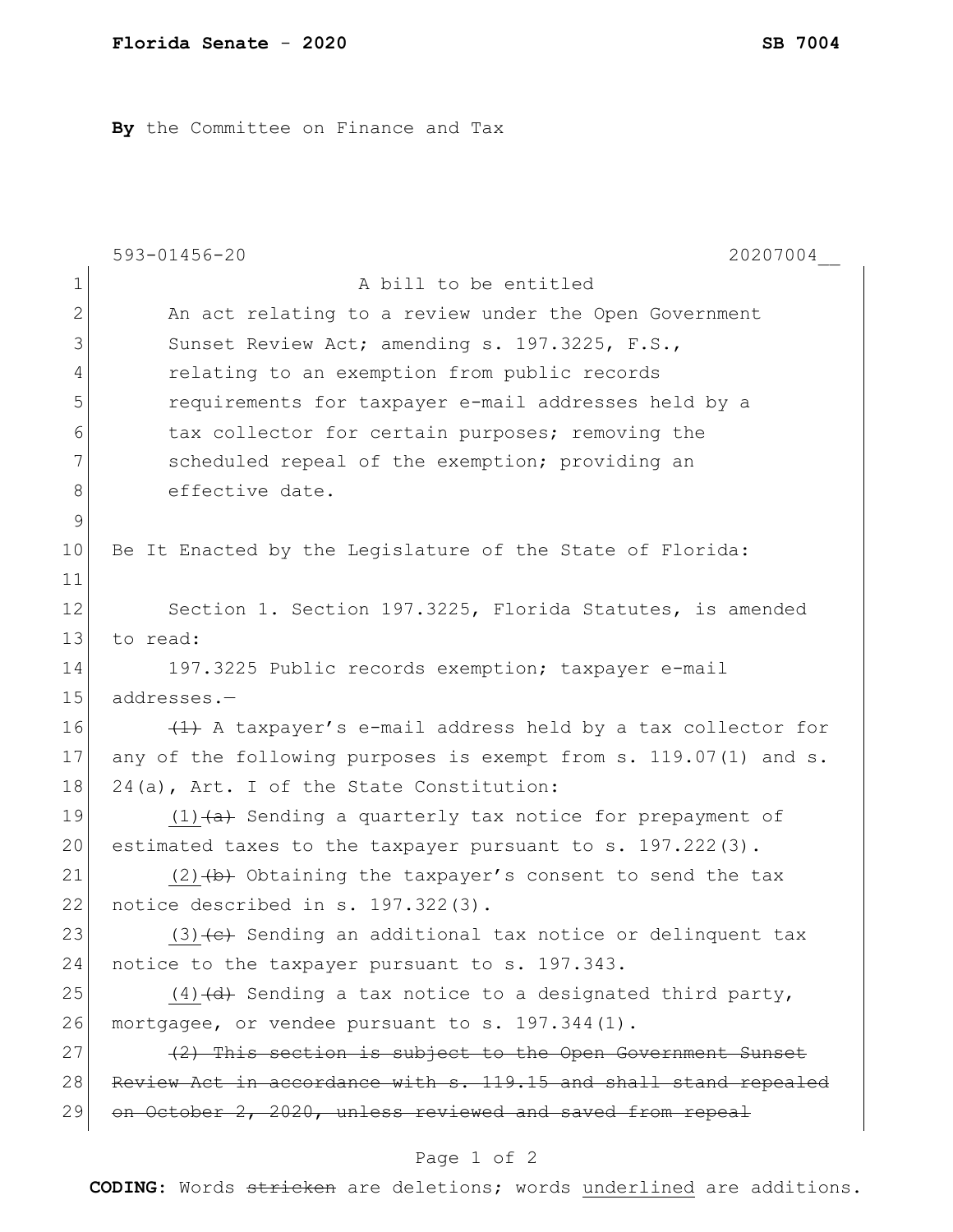**By** the Committee on Finance and Tax

|               | 20207004<br>593-01456-20                                              |
|---------------|-----------------------------------------------------------------------|
| $\mathbf 1$   | A bill to be entitled                                                 |
| 2             | An act relating to a review under the Open Government                 |
| 3             | Sunset Review Act; amending s. 197.3225, F.S.,                        |
| 4             | relating to an exemption from public records                          |
| 5             | requirements for taxpayer e-mail addresses held by a                  |
| 6             | tax collector for certain purposes; removing the                      |
| 7             | scheduled repeal of the exemption; providing an                       |
| 8             | effective date.                                                       |
| $\mathcal{G}$ |                                                                       |
| 10            | Be It Enacted by the Legislature of the State of Florida:             |
| 11            |                                                                       |
| 12            | Section 1. Section 197.3225, Florida Statutes, is amended             |
| 13            | to read:                                                              |
| 14            | 197.3225 Public records exemption; taxpayer e-mail                    |
| 15            | addresses.-                                                           |
| 16            | (1) A taxpayer's e-mail address held by a tax collector for           |
| 17            | any of the following purposes is exempt from s. 119.07(1) and s.      |
| 18            | 24(a), Art. I of the State Constitution:                              |
| 19            | $(1)$ $(4)$ Sending a quarterly tax notice for prepayment of          |
| 20            | estimated taxes to the taxpayer pursuant to s. 197.222(3).            |
| 21            | $(2)$ $(b)$ Obtaining the taxpayer's consent to send the tax          |
| 22            | notice described in s. 197.322(3).                                    |
| 23            | $(3)$ $\leftarrow$ Sending an additional tax notice or delinquent tax |
| 24            | notice to the taxpayer pursuant to s. 197.343.                        |
| 25            | $(4)$ $(4)$ Sending a tax notice to a designated third party,         |
| 26            | mortgagee, or vendee pursuant to s. 197.344(1).                       |
| 27            | (2) This section is subject to the Open Government Sunset             |
| 28            | Review Act in accordance with s. 119.15 and shall stand repealed      |
| 29            | on October 2, 2020, unless reviewed and saved from repeal             |
|               |                                                                       |

## Page 1 of 2

**CODING**: Words stricken are deletions; words underlined are additions.